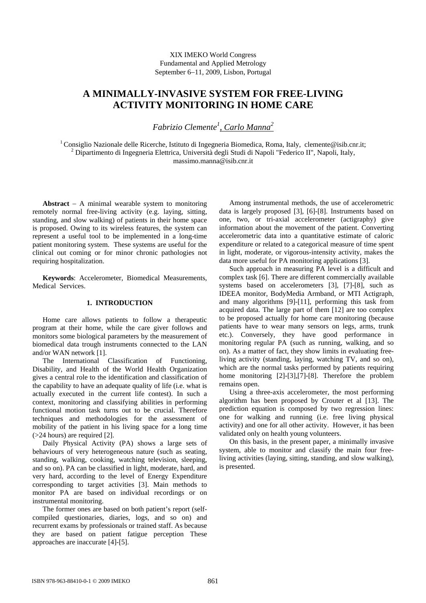# XIX IMEKO World Congress Fundamental and Applied Metrology September 6−11, 2009, Lisbon, Portugal

# **A MINIMALLY-INVASIVE SYSTEM FOR FREE-LIVING ACTIVITY MONITORING IN HOME CARE**

*Fabrizio Clemente1 , Carlo Manna2*

<sup>1</sup> Consiglio Nazionale delle Ricerche, Istituto di Ingegneria Biomedica, Roma, Italy, clemente@isib.cnr.it; <sup>2</sup> Dipartimento di Ingegneria Elettrica, Università degli Studi di Napoli "Federico II", Napoli, Italy, massimo.manna@isib.cnr.it

**Abstract** − A minimal wearable system to monitoring remotely normal free-living activity (e.g. laying, sitting, standing, and slow walking) of patients in their home space is proposed. Owing to its wireless features, the system can represent a useful tool to be implemented in a long-time patient monitoring system. These systems are useful for the clinical out coming or for minor chronic pathologies not requiring hospitalization.

**Keywords**: Accelerometer, Biomedical Measurements, Medical Services.

# **1. INTRODUCTION**

Home care allows patients to follow a therapeutic program at their home, while the care giver follows and monitors some biological parameters by the measurement of biomedical data trough instruments connected to the LAN and/or WAN network [1].

The International Classification of Functioning, Disability, and Health of the World Health Organization gives a central role to the identification and classification of the capability to have an adequate quality of life (i.e. what is actually executed in the current life contest). In such a context, monitoring and classifying abilities in performing functional motion task turns out to be crucial. Therefore techniques and methodologies for the assessment of mobility of the patient in his living space for a long time (>24 hours) are required [2].

Daily Physical Activity (PA) shows a large sets of behaviours of very heterogeneous nature (such as seating, standing, walking, cooking, watching television, sleeping, and so on). PA can be classified in light, moderate, hard, and very hard, according to the level of Energy Expenditure corresponding to target activities [3]. Main methods to monitor PA are based on individual recordings or on instrumental monitoring.

The former ones are based on both patient's report (selfcompiled questionaries, diaries, logs, and so on) and recurrent exams by professionals or trained staff. As because they are based on patient fatigue perception These approaches are inaccurate [4]-[5].

Among instrumental methods, the use of accelerometric data is largely proposed [3], [6]-[8]. Instruments based on one, two, or tri-axial accelerometer (actigraphy) give information about the movement of the patient. Converting accelerometric data into a quantitative estimate of caloric expenditure or related to a categorical measure of time spent in light, moderate, or vigorous-intensity activity, makes the data more useful for PA monitoring applications [3].

Such approach in measuring PA level is a difficult and complex task [6]. There are different commercially available systems based on accelerometers [3], [7]-[8], such as IDEEA monitor, BodyMedia Armband, or MTI Actigraph, and many algorithms [9]-[11], performing this task from acquired data. The large part of them [12] are too complex to be proposed actually for home care monitoring (because patients have to wear many sensors on legs, arms, trunk etc.). Conversely, they have good performance in monitoring regular PA (such as running, walking, and so on). As a matter of fact, they show limits in evaluating freeliving activity (standing, laying, watching TV, and so on), which are the normal tasks performed by patients requiring home monitoring [2]-[3],[7]-[8]. Therefore the problem remains open.

Using a three-axis accelerometer, the most performing algorithm has been proposed by Crouter et al [13]. The prediction equation is composed by two regression lines: one for walking and running (i.e. free living physical activity) and one for all other activity. However, it has been validated only on health young volunteers.

On this basis, in the present paper, a minimally invasive system, able to monitor and classify the main four freeliving activities (laying, sitting, standing, and slow walking), is presented.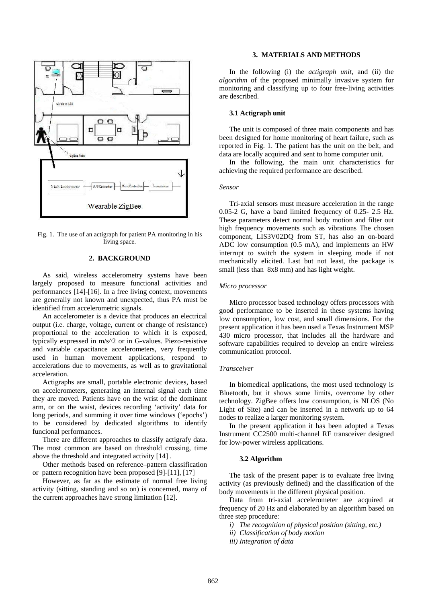

Fig. 1. The use of an actigraph for patient PA monitoring in his living space.

## **2. BACKGROUND**

As said, wireless accelerometry systems have been largely proposed to measure functional activities and performances [14]-[16]. In a free living context, movements are generally not known and unexpected, thus PA must be identified from accelerometric signals.

An accelerometer is a device that produces an electrical output (i.e. charge, voltage, current or change of resistance) proportional to the acceleration to which it is exposed, typically expressed in m/s^2 or in G-values. Piezo-resistive and variable capacitance accelerometers, very frequently used in human movement applications, respond to accelerations due to movements, as well as to gravitational acceleration.

Actigraphs are small, portable electronic devices, based on accelerometers, generating an internal signal each time they are moved. Patients have on the wrist of the dominant arm, or on the waist, devices recording 'activity' data for long periods, and summing it over time windows ('epochs') to be considered by dedicated algorithms to identify funcional performances.

There are different approaches to classify actigrafy data. The most common are based on threshold crossing, time above the threshold and integrated activity [14] .

Other methods based on reference–pattern classification or pattern recognition have been proposed [9]-[11], [17]

However, as far as the estimate of normal free living activity (sitting, standing and so on) is concerned, many of the current approaches have strong limitation [12].

## **3. MATERIALS AND METHODS**

In the following (i) the *actigraph unit*, and (ii) the *algorithm* of the proposed minimally invasive system for monitoring and classifying up to four free-living activities are described.

# **3.1 Actigraph unit**

The unit is composed of three main components and has been designed for home monitoring of heart failure, such as reported in Fig. 1. The patient has the unit on the belt, and data are locally acquired and sent to home computer unit.

In the following, the main unit characteristics for achieving the required performance are described.

#### *Sensor*

Tri-axial sensors must measure acceleration in the range 0.05-2 G, have a band limited frequency of 0.25- 2.5 Hz. These parameters detect normal body motion and filter out high frequency movements such as vibrations The chosen component, LIS3V02DQ from ST, has also an on-board ADC low consumption (0.5 mA), and implements an HW interrupt to switch the system in sleeping mode if not mechanically elicited. Last but not least, the package is small (less than 8x8 mm) and has light weight.

#### *Micro processor*

Micro processor based technology offers processors with good performance to be inserted in these systems having low consumption, low cost, and small dimensions. For the present application it has been used a Texas Instrument MSP 430 micro processor, that includes all the hardware and software capabilities required to develop an entire wireless communication protocol.

#### *Transceiver*

In biomedical applications, the most used technology is Bluetooth, but it shows some limits, overcome by other technology. ZigBee offers low consumption, is NLOS (No Light of Site) and can be inserted in a network up to 64 nodes to realize a larger monitoring system.

In the present application it has been adopted a Texas Instrument CC2500 multi-channel RF transceiver designed for low-power wireless applications.

#### **3.2 Algorithm**

The task of the present paper is to evaluate free living activity (as previously defined) and the classification of the body movements in the different physical position.

Data from tri-axial accelerometer are acquired at frequency of 20 Hz and elaborated by an algorithm based on three step procedure:

*i) The recognition of physical position (sitting, etc.)* 

*ii) Classification of body motion* 

*iii) Integration of data*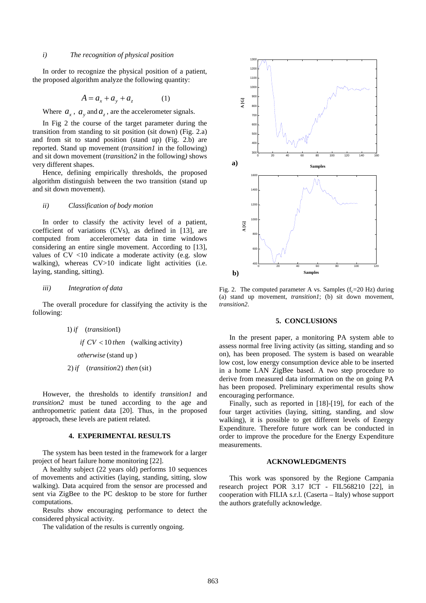## *i) The recognition of physical position*

In order to recognize the physical position of a patient, the proposed algorithm analyze the following quantity:

$$
A = a_x + a_y + a_z \tag{1}
$$

Where  $a_x$ ,  $a_y$  and  $a_z$ , are the accelerometer signals.

In Fig 2 the course of the target parameter during the transition from standing to sit position (sit down) (Fig. 2.a) and from sit to stand position (stand up) (Fig. 2.b) are reported. Stand up movement (*transition1* in the following) and sit down movement (*transition2* in the following*)* shows very different shapes.

Hence, defining empirically thresholds, the proposed algorithm distinguish between the two transition (stand up and sit down movement).

#### *ii) Classification of body motion*

In order to classify the activity level of a patient, coefficient of variations (CVs), as defined in [13], are computed from accelerometer data in time windows considering an entire single movement. According to [13], values of CV <10 indicate a moderate activity (e.g. slow walking), whereas  $CV>10$  indicate light activities (i.e. laying, standing, sitting).

#### *iii) Integration of data*

The overall procedure for classifying the activity is the following:

> 1) *if* (*transition*1) *if*  $CV < 10$  *then* (walking activity) (stand up ) *otherwise*  $2$ ) if  $(transition 2)$  then (sit)

However, the thresholds to identify *transition1* and *transition2* must be tuned according to the age and anthropometric patient data [20]. Thus, in the proposed approach, these levels are patient related.

## **4. EXPERIMENTAL RESULTS**

The system has been tested in the framework for a larger project of heart failure home monitoring [22].

A healthy subject (22 years old) performs 10 sequences of movements and activities (laying, standing, sitting, slow walking). Data acquired from the sensor are processed and sent via ZigBee to the PC desktop to be store for further computations.

Results show encouraging performance to detect the considered physical activity.

The validation of the results is currently ongoing.



Fig. 2. The computed parameter A vs. Samples  $(f<sub>c</sub>=20 Hz)$  during (a) stand up movement, *transition1*; (b) sit down movement, *transition2*.

#### **5. CONCLUSIONS**

In the present paper, a monitoring PA system able to assess normal free living activity (as sitting, standing and so on), has been proposed. The system is based on wearable low cost, low energy consumption device able to be inserted in a home LAN ZigBee based. A two step procedure to derive from measured data information on the on going PA has been proposed. Preliminary experimental results show encouraging performance.

Finally, such as reported in [18]-[19], for each of the four target activities (laying, sitting, standing, and slow walking), it is possible to get different levels of Energy Expenditure. Therefore future work can be conducted in order to improve the procedure for the Energy Expenditure measurements.

#### **ACKNOWLEDGMENTS**

This work was sponsored by the Regione Campania research project POR 3.17 ICT - FIL568210 [22], in cooperation with FILIA s.r.l. (Caserta – Italy) whose support the authors gratefully acknowledge.